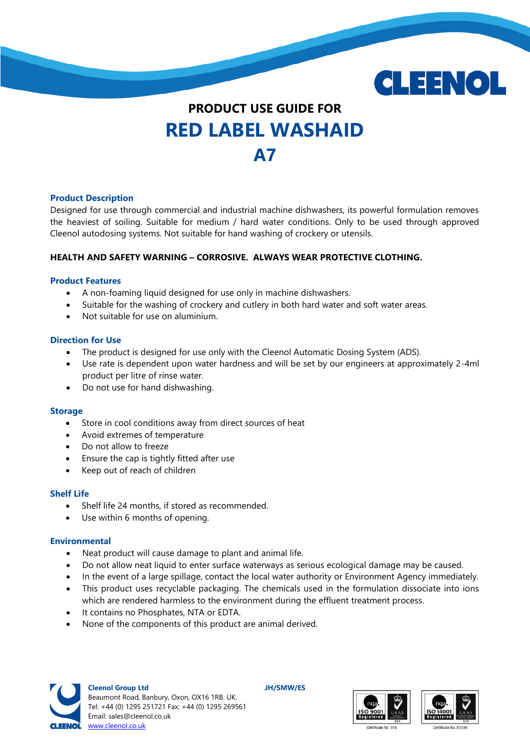

# **PRODUCT USE GUIDE FOR RED LABEL WASHAID A7**

## **Product Description**

Designed for use through commercial and industrial machine dishwashers, its powerful formulation removes the heaviest of soiling. Suitable for medium / hard water conditions. Only to be used through approved Cleenol autodosing systems. Not suitable for hand washing of crockery or utensils.

## **HEALTH AND SAFETY WARNING – CORROSIVE. ALWAYS WEAR PROTECTIVE CLOTHING.**

#### **Product Features**

- A non-foaming liquid designed for use only in machine dishwashers.
- Suitable for the washing of crockery and cutlery in both hard water and soft water areas.
- Not suitable for use on aluminium.

#### **Direction for Use**

- The product is designed for use only with the Cleenol Automatic Dosing System (ADS).
- Use rate is dependent upon water hardness and will be set by our engineers at approximately 2-4ml product per litre of rinse water.
- Do not use for hand dishwashing.

#### **Storage**

- Store in cool conditions away from direct sources of heat
- Avoid extremes of temperature
- Do not allow to freeze
- Ensure the cap is tightly fitted after use
- Keep out of reach of children

## **Shelf Life**

- Shelf life 24 months, if stored as recommended.
- Use within 6 months of opening.

#### **Environmental**

- Neat product will cause damage to plant and animal life.
- Do not allow neat liquid to enter surface waterways as serious ecological damage may be caused.
- In the event of a large spillage, contact the local water authority or Environment Agency immediately.
- This product uses recyclable packaging. The chemicals used in the formulation dissociate into ions which are rendered harmless to the environment during the effluent treatment process.
- $\bullet$  It contains no Phosphates, NTA or EDTA.
- None of the components of this product are animal derived.